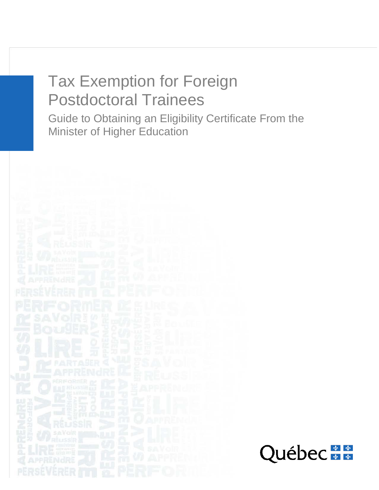# Tax Exemption for Foreign Postdoctoral Trainees

Guide to Obtaining an Eligibility Certificate From the Minister of Higher Education

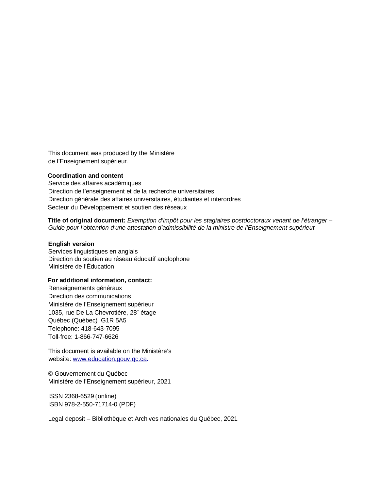This document was produced by the Ministère de l'Enseignement supérieur.

#### **Coordination and content**

Service des affaires académiques Direction de l'enseignement et de la recherche universitaires Direction générale des affaires universitaires, étudiantes et interordres Secteur du Développement et soutien des réseaux

**Title of original document:** *Exemption d'impôt pour les stagiaires postdoctoraux venant de l'étranger – Guide pour l'obtention d'une attestation d'admissibilité de la ministre de l'Enseignement supérieu*r

#### **English version**

Services linguistiques en anglais Direction du soutien au réseau éducatif anglophone Ministère de l'Éducation

#### **For additional information, contact:**

Renseignements généraux Direction des communications Ministère de l'Enseignement supérieur 1035, rue De La Chevrotière, 28<sup>e</sup> étage Québec (Québec) G1R 5A5 Telephone: 418-643-7095 Toll-free: 1-866-747-6626

This document is available on the Ministère's website: [www.education.gouv.qc.ca.](http://www.education.gouv.qc.ca/)

© Gouvernement du Québec Ministère de l'Enseignement supérieur, 2021

ISSN 2368-6529 (online) ISBN 978-2-550-71714-0 (PDF)

Legal deposit – Bibliothèque et Archives nationales du Québec, 2021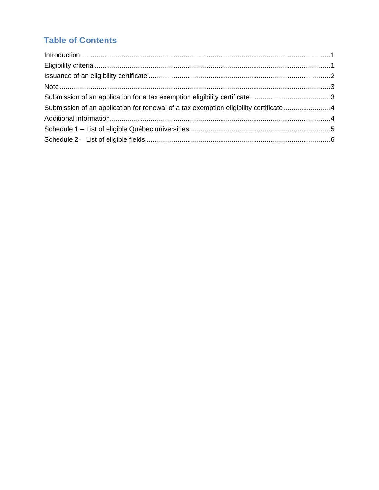# **Table of Contents**

<span id="page-2-0"></span>

| Submission of an application for renewal of a tax exemption eligibility certificate 4 |  |
|---------------------------------------------------------------------------------------|--|
|                                                                                       |  |
|                                                                                       |  |
|                                                                                       |  |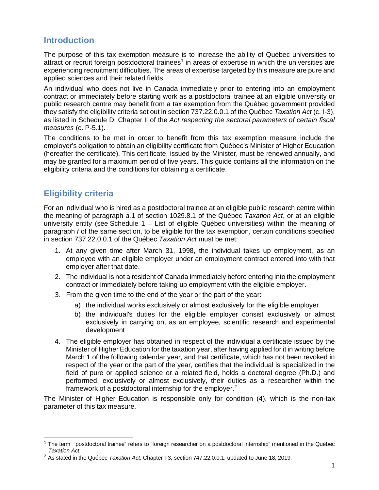# **Introduction**

The purpose of this tax exemption measure is to increase the ability of Québec universities to attract or recruit foreign postdoctoral trainees<sup>[1](#page-3-1)</sup> in areas of expertise in which the universities are experiencing recruitment difficulties. The areas of expertise targeted by this measure are pure and applied sciences and their related fields.

An individual who does not live in Canada immediately prior to entering into an employment contract or immediately before starting work as a postdoctoral trainee at an eligible university or public research centre may benefit from a tax exemption from the Québec government provided they satisfy the eligibility criteria set out in section 737.22.0.0.1 of the Québec *Taxation Act* (c. I-3), as listed in Schedule D, Chapter II of the *Act respecting the sectoral parameters of certain fiscal measures* (c. P-5.1).

The conditions to be met in order to benefit from this tax exemption measure include the employer's obligation to obtain an eligibility certificate from Québec's Minister of Higher Education (hereafter the certificate). This certificate, issued by the Minister, must be renewed annually, and may be granted for a maximum period of five years. This guide contains all the information on the eligibility criteria and the conditions for obtaining a certificate.

# <span id="page-3-0"></span>**Eligibility criteria**

For an individual who is hired as a postdoctoral trainee at an eligible public research centre within the meaning of paragraph *a.*1 of section 1029.8.1 of the Québec *Taxation Act*, or at an eligible university entity (see Schedule  $1 -$  List of eligible Québec universities) within the meaning of paragraph *f* of the same section, to be eligible for the tax exemption, certain conditions specified in section 737.22.0.0.1 of the Québec *Taxation Act* must be met:

- 1. At any given time after March 31, 1998, the individual takes up employment, as an employee with an eligible employer under an employment contract entered into with that employer after that date.
- 2. The individual is not a resident of Canada immediately before entering into the employment contract or immediately before taking up employment with the eligible employer.
- 3. From the given time to the end of the year or the part of the year:
	- a) the individual works exclusively or almost exclusively for the eligible employer
	- b) the individual's duties for the eligible employer consist exclusively or almost exclusively in carrying on, as an employee, scientific research and experimental development
- 4. The eligible employer has obtained in respect of the individual a certificate issued by the Minister of Higher Education for the taxation year, after having applied for it in writing before March 1 of the following calendar year, and that certificate, which has not been revoked in respect of the year or the part of the year, certifies that the individual is specialized in the field of pure or applied science or a related field, holds a doctoral degree (Ph.D.) and performed, exclusively or almost exclusively, their duties as a researcher within the framework of a postdoctoral internship for the employer. [2](#page-3-2)

The Minister of Higher Education is responsible only for condition (4), which is the non-tax parameter of this tax measure.

<span id="page-3-1"></span><sup>&</sup>lt;sup>1</sup> The term "postdoctoral trainee" refers to "foreign researcher on a postdoctoral internship" mentioned in the Québec *Taxation Act.*

<span id="page-3-2"></span><sup>2</sup> As stated in the Québec *Taxation Act*, Chapter I-3, section 747.22.0.0.1, updated to June 18, 2019.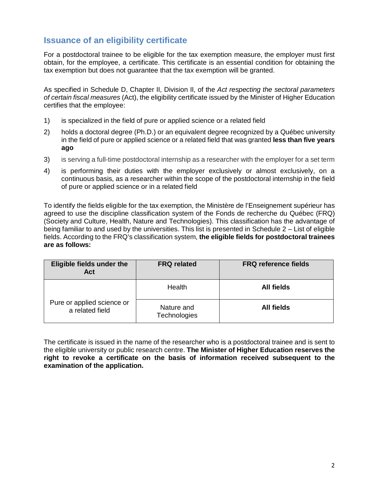# <span id="page-4-0"></span>**Issuance of an eligibility certificate**

For a postdoctoral trainee to be eligible for the tax exemption measure, the employer must first obtain, for the employee, a certificate. This certificate is an essential condition for obtaining the tax exemption but does not guarantee that the tax exemption will be granted.

As specified in Schedule D, Chapter II, Division II, of the *Act respecting the sectoral parameters of certain fiscal measures* (Act), the eligibility certificate issued by the Minister of Higher Education certifies that the employee:

- 1) is specialized in the field of pure or applied science or a related field
- 2) holds a doctoral degree (Ph.D.) or an equivalent degree recognized by a Québec university in the field of pure or applied science or a related field that was granted **less than five years ago**
- 3) is serving a full-time postdoctoral internship as a researcher with the employer for a set term
- 4) is performing their duties with the employer exclusively or almost exclusively, on a continuous basis, as a researcher within the scope of the postdoctoral internship in the field of pure or applied science or in a related field

To identify the fields eligible for the tax exemption, the Ministère de l'Enseignement supérieur has agreed to use the discipline classification system of the Fonds de recherche du Québec (FRQ) (Society and Culture, Health, Nature and Technologies). This classification has the advantage of being familiar to and used by the universities. This list is presented in Schedule 2 – List of eligible fields. According to the FRQ's classification system, **the eligible fields for postdoctoral trainees are as follows:**

| <b>Eligible fields under the</b><br><b>Act</b> | <b>FRQ related</b>                | <b>FRQ reference fields</b> |
|------------------------------------------------|-----------------------------------|-----------------------------|
| Pure or applied science or<br>a related field  | Health                            | <b>All fields</b>           |
|                                                | Nature and<br><b>Technologies</b> | <b>All fields</b>           |

The certificate is issued in the name of the researcher who is a postdoctoral trainee and is sent to the eligible university or public research centre. **The Minister of Higher Education reserves the right to revoke a certificate on the basis of information received subsequent to the examination of the application.**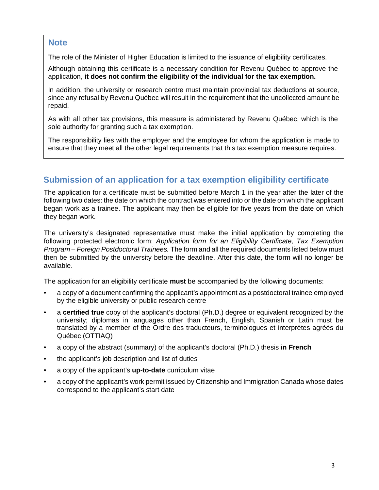# **Note**

The role of the Minister of Higher Education is limited to the issuance of eligibility certificates.

Although obtaining this certificate is a necessary condition for Revenu Québec to approve the application, **it does not confirm the eligibility of the individual for the tax exemption.**

In addition, the university or research centre must maintain provincial tax deductions at source, since any refusal by Revenu Québec will result in the requirement that the uncollected amount be repaid.

As with all other tax provisions, this measure is administered by Revenu Québec, which is the sole authority for granting such a tax exemption.

The responsibility lies with the employer and the employee for whom the application is made to ensure that they meet all the other legal requirements that this tax exemption measure requires.

# <span id="page-5-0"></span>**Submission of an application for a tax exemption eligibility certificate**

The application for a certificate must be submitted before March 1 in the year after the later of the following two dates: the date on which the contract was entered into or the date on which the applicant began work as a trainee. The applicant may then be eligible for five years from the date on which they began work.

The university's designated representative must make the initial application by completing the following protected electronic form: *Application form for an Eligibility Certificate, Tax Exemption Program – Foreign Postdoctoral Trainees.* The form and all the required documents listed below must then be submitted by the university before the deadline. After this date, the form will no longer be available.

The application for an eligibility certificate **must** be accompanied by the following documents:

- a copy of a document confirming the applicant's appointment as a postdoctoral trainee employed by the eligible university or public research centre
- a **certified true** copy of the applicant's doctoral (Ph.D.) degree or equivalent recognized by the university; diplomas in languages other than French, English, Spanish or Latin must be translated by a member of the Ordre des traducteurs, terminologues et interprètes agréés du Québec (OTTIAQ)
- a copy of the abstract (summary) of the applicant's doctoral (Ph.D.) thesis **in French**
- the applicant's job description and list of duties
- a copy of the applicant's **up-to-date** curriculum vitae
- a copy of the applicant's work permit issued by Citizenship and Immigration Canada whose dates correspond to the applicant's start date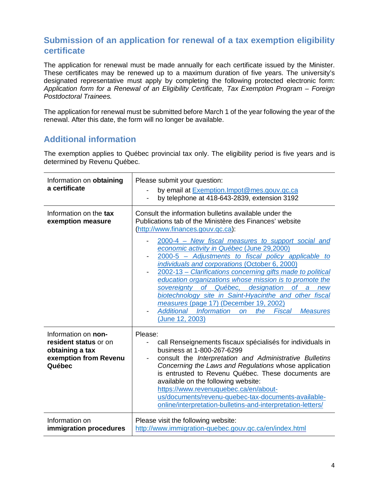# <span id="page-6-0"></span>**Submission of an application for renewal of a tax exemption eligibility certificate**

The application for renewal must be made annually for each certificate issued by the Minister. These certificates may be renewed up to a maximum duration of five years. The university's designated representative must apply by completing the following protected electronic form: *Application form for a Renewal of an Eligibility Certificate, Tax Exemption Program – Foreign Postdoctoral Trainees.*

The application for renewal must be submitted before March 1 of the year following the year of the renewal. After this date, the form will no longer be available.

# <span id="page-6-1"></span>**Additional information**

The exemption applies to Québec provincial tax only. The eligibility period is five years and is determined by Revenu Québec.

| Information on obtaining<br>a certificate                                                          | Please submit your question:<br>by email at Exemption. Impot@mes.gouv.qc.ca<br>by telephone at 418-643-2839, extension 3192                                                                                                                                                                                                                                                                                                                                                                                                                                                                                                                                                                                                                      |  |
|----------------------------------------------------------------------------------------------------|--------------------------------------------------------------------------------------------------------------------------------------------------------------------------------------------------------------------------------------------------------------------------------------------------------------------------------------------------------------------------------------------------------------------------------------------------------------------------------------------------------------------------------------------------------------------------------------------------------------------------------------------------------------------------------------------------------------------------------------------------|--|
| Information on the tax<br>exemption measure                                                        | Consult the information bulletins available under the<br>Publications tab of the Ministère des Finances' website<br>(http://www.finances.gouv.qc.ca):<br>2000-4 – New fiscal measures to support social and<br>economic activity in Québec (June 29,2000)<br>2000-5 - Adjustments to fiscal policy applicable to<br>individuals and corporations (October 6, 2000)<br>2002-13 - Clarifications concerning gifts made to political<br>education organizations whose mission is to promote the<br>sovereignty of Québec, designation<br>of a new<br>biotechnology site in Saint-Hyacinthe and other fiscal<br>measures (page 17) (December 19, 2002)<br>Additional Information<br><b>Fiscal</b><br>the<br>on<br><b>Measures</b><br>(June 12, 2003) |  |
| Information on non-<br>resident status or on<br>obtaining a tax<br>exemption from Revenu<br>Québec | Please:<br>call Renseignements fiscaux spécialisés for individuals in<br>business at 1-800-267-6299<br>consult the Interpretation and Administrative Bulletins<br>Concerning the Laws and Regulations whose application<br>is entrusted to Revenu Québec. These documents are<br>available on the following website:<br>https://www.revenuquebec.ca/en/about-<br>us/documents/revenu-quebec-tax-documents-available-<br>online/interpretation-bulletins-and-interpretation-letters/                                                                                                                                                                                                                                                              |  |
| Information on<br>immigration procedures                                                           | Please visit the following website:<br>http://www.immigration-quebec.gouv.gc.ca/en/index.html                                                                                                                                                                                                                                                                                                                                                                                                                                                                                                                                                                                                                                                    |  |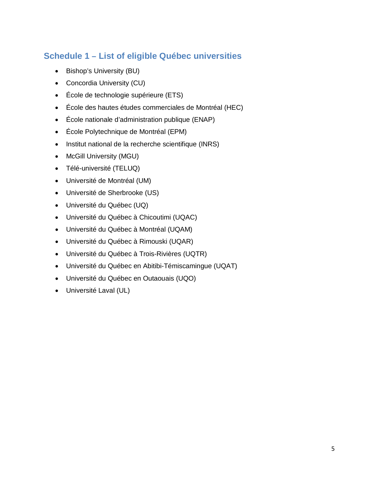# <span id="page-7-0"></span>**Schedule 1 – List of eligible Québec universities**

- Bishop's University (BU)
- Concordia University (CU)
- École de technologie supérieure (ETS)
- École des hautes études commerciales de Montréal (HEC)
- École nationale d'administration publique (ENAP)
- École Polytechnique de Montréal (EPM)
- Institut national de la recherche scientifique (INRS)
- McGill University (MGU)
- Télé-université (TELUQ)
- Université de Montréal (UM)
- Université de Sherbrooke (US)
- Université du Québec (UQ)
- Université du Québec à Chicoutimi (UQAC)
- Université du Québec à Montréal (UQAM)
- Université du Québec à Rimouski (UQAR)
- Université du Québec à Trois-Rivières (UQTR)
- Université du Québec en Abitibi-Témiscamingue (UQAT)
- Université du Québec en Outaouais (UQO)
- Université Laval (UL)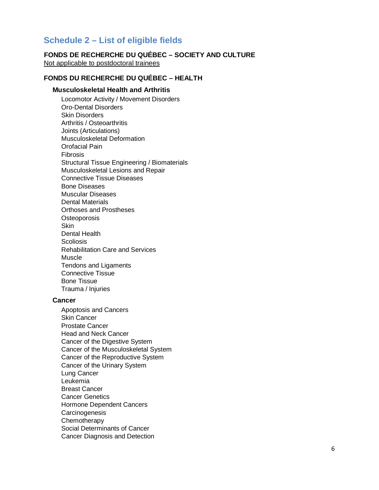# <span id="page-8-0"></span>**Schedule 2 – List of eligible fields**

# **FONDS DE RECHERCHE DU QUÉBEC – SOCIETY AND CULTURE**

Not applicable to postdoctoral trainees

# **FONDS DU RECHERCHE DU QUÉBEC – HEALTH**

#### **Musculoskeletal Health and Arthritis**

Locomotor Activity / Movement Disorders Oro-Dental Disorders Skin Disorders Arthritis / Osteoarthritis Joints (Articulations) Musculoskeletal Deformation Orofacial Pain Fibrosis Structural Tissue Engineering / Biomaterials Musculoskeletal Lesions and Repair Connective Tissue Diseases Bone Diseases Muscular Diseases Dental Materials Orthoses and Prostheses **Osteoporosis Skin** Dental Health **Scoliosis** Rehabilitation Care and Services Muscle Tendons and Ligaments Connective Tissue Bone Tissue Trauma / Injuries

#### **Cancer**

Apoptosis and Cancers Skin Cancer Prostate Cancer Head and Neck Cancer Cancer of the Digestive System Cancer of the Musculoskeletal System Cancer of the Reproductive System Cancer of the Urinary System Lung Cancer Leukemia Breast Cancer Cancer Genetics Hormone Dependent Cancers **Carcinogenesis Chemotherapy** Social Determinants of Cancer Cancer Diagnosis and Detection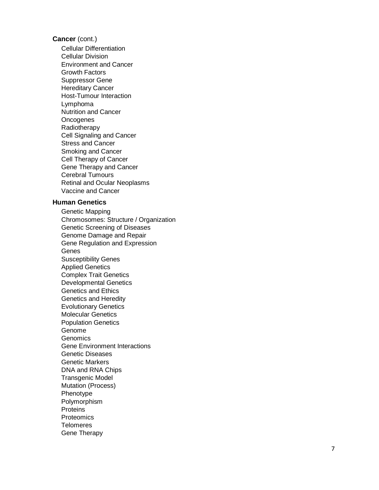# **Cancer** (cont.)

Cellular Differentiation Cellular Division Environment and Cancer Growth Factors Suppressor Gene Hereditary Cancer Host -Tumour Interaction Lymphoma Nutrition and Cance r **Oncogenes** Radiotherapy Cell Signaling and Cancer Stress and Cancer Smoking and Cancer Cell Therapy of Cancer Gene Therapy and Cancer Cerebral Tumours Retinal and Ocular Neoplasms Vaccine and Cancer

#### **Human Genetics**

Genetic Mapping Chromosomes: Structure / Organization Genetic Screening of Diseases Genome Damage and Repair Gene Regulation and Expression **Genes** Susceptibility Genes Applied Genetics Complex Trait Genetics Developmental Genetics Genetics and Ethics Genetics and Heredity Evolutionary Genetics Molecular Genetics Population Genetics Genome Genomics Gene Environment Interactions Genetic Diseases Genetic Markers DNA and RNA Chips Transgenic Model Mutation (Process) Phenotype Polymorphism **Proteins Proteomics Telomeres** Gene Therapy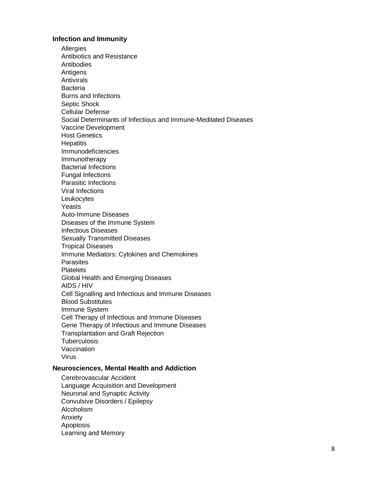#### **Infection and Immunity**

**Allergies** Antibiotics and Resistance Antibodies Antigens **Antivirals Bacteria** Burns and Infections Septic Shock Cellular Defense Social Determinants of Infectious and Immune-Meditated Diseases Vaccine Development Host Genetics **Hepatitis** Immunodeficiencies Immunotherapy Bacterial Infections Fungal Infections Parasitic Infections Viral Infections Leukocytes Yeasts Auto-Immune Diseases Diseases of the Immune System Infectious Diseases Sexually Transmitted Diseases Tropical Diseases Immune Mediators: Cytokines and Chemokines **Parasites Platelets** Global Health and Emerging Diseases AIDS / HIV Cell Signalling and Infectious and Immune Diseases Blood Substitutes Immune System Cell Therapy of Infectious and Immune Diseases Gene Therapy of Infectious and Immune Diseases Transplantation and Graft Rejection **Tuberculosis** Vaccination Virus

#### **Neurosciences, Mental Health and Addiction**

Cerebrovascular Accident Language Acquisition and Development Neuronal and Synaptic Activity Convulsive Disorders / Epilepsy Alcoholism Anxiety Apoptosis Learning and Memory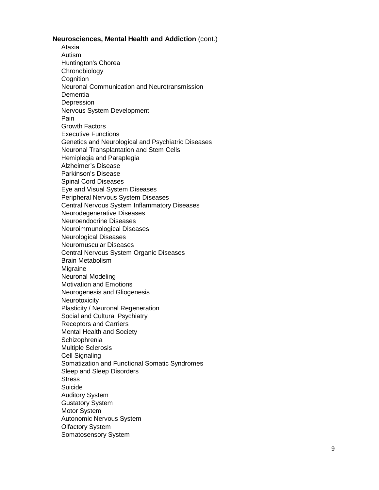**Neurosciences, Mental Health and Addiction** (cont.)

Ataxia Autism Huntington's Chorea Chronobiology **Cognition** Neuronal Communication and Neurotransmission **Dementia** Depression Nervous System Development Pain Growth Factors Executive Functions Genetics and Neurological and Psychiatric Diseases Neuronal Transplantation and Stem Cells Hemiplegia and Paraplegia Alzheimer's Disease Parkinson's Disease Spinal Cord Diseases Eye and Visual System Diseases Peripheral Nervous System Diseases Central Nervous System Inflammatory Diseases Neurodegenerative Diseases Neuroendocrine Diseases Neuroimmunological Diseases Neurological Diseases Neuromuscular Diseases Central Nervous System Organic Diseases Brain Metabolism Migraine Neuronal Modeling Motivation and Emotions Neurogenesis and Gliogenesis **Neurotoxicity** Plasticity / Neuronal Regeneration Social and Cultural Psychiatry Receptors and Carriers Mental Health and Society **Schizophrenia** Multiple Sclerosis Cell Signaling Somatization and Functional Somatic Syndromes Sleep and Sleep Disorders **Stress** Suicide Auditory System Gustatory System Motor System Autonomic Nervous System Olfactory System Somatosensory System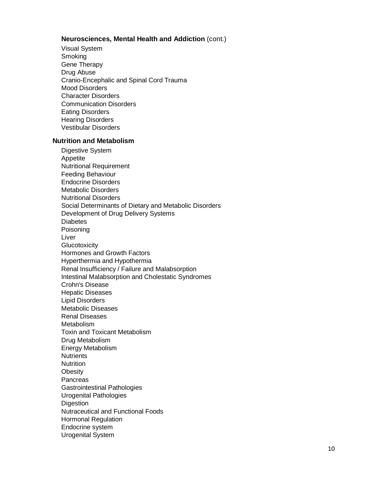#### **Neurosciences, Mental Health and Addiction** (cont.)

Visual System Smoking Gene Therapy Drug Abuse Cranio -Encephalic and Spinal Cord Trauma Mood Disorders Character Disorders Communication Disorders Eating Disorders Hearing Disorders Vestibular Disorders

#### **Nutrition and Metabolism**

Digestive System Appetite Nutritional Requirement Feeding Behaviour Endocrine Disorders Metabolic Disorders Nutritional Disorders Social Determinants of Dietary and Metabolic Disorders Development of Drug Delivery Systems **Diabetes** Poisoning Liver **Glucotoxicity** Hormones and Growth Factors Hyperthermia and Hypothermia Renal Insufficiency / Failure and Malabsorption Intestinal Malabsorption and Cholestatic Syndromes Crohn's Disease Hepatic Diseases Lipid Disorders Metabolic Diseases Renal Diseases Metabolism Toxin and Toxicant Metabolism Drug Metabolism Energy Metabolism **Nutrients** Nutrition **Obesity Pancreas** Gastrointestinal Pathologies Urogenital Pathologies **Digestion** Nutraceutical and Functional Foods Hormonal Regulation Endocrine system Urogenital System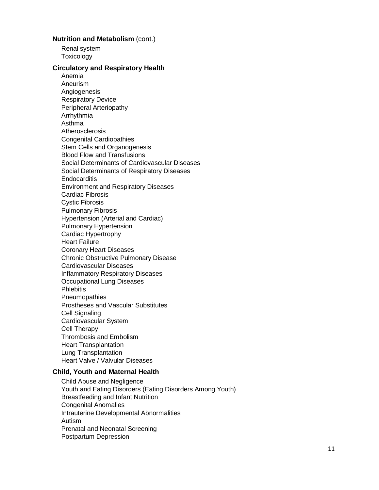#### **Nutrition and Metabolism (cont.)**

Renal system Toxicology

#### **Circulatory and Respiratory Health**

Anemia Aneurism Angiogenesis Respiratory Device Peripheral Arteriopathy Arrhythmia Asthma **Atherosclerosis** Congenital Cardiopathies Stem Cells and Organogenesis Blood Flow and Transfusions Social Determinants of Cardiovascular Diseases Social Determinants of Respiratory Diseases **Endocarditis** Environment and Respiratory Diseases Cardiac Fibrosis Cystic Fibrosis Pulmonary Fibrosis Hypertension (Arterial and Cardiac) Pulmonary Hypertension Cardiac Hypertrophy Heart Failure Coronary Heart Diseases Chronic Obstructive Pulmonary Disease Cardiovascular Diseases Inflammatory Respiratory Diseases Occupational Lung Diseases **Phlebitis** Pneumopathies Prostheses and Vascular Substitutes Cell Signaling Cardiovascular System Cell Therapy Thrombosis and Embolism Heart Transplantation Lung Transplantation Heart Valve / Valvular Diseases

# **Child, Youth and Maternal Health**

Child Abuse and Negligence Youth and Eating Disorders (Eating Disorders Among Youth) Breastfeeding and Infant Nutrition Congenital Anomalies Intrauterine Developmental Abnormalities Autism Prenatal and Neonatal Screening Postpartum Depression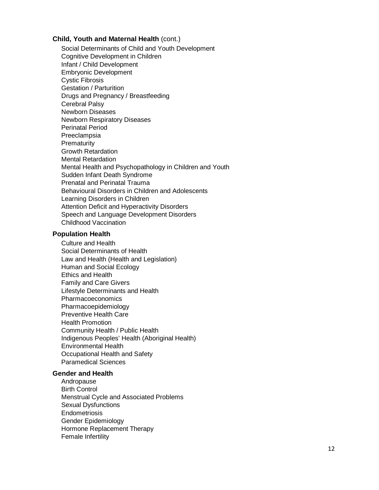#### **Child, Youth and Maternal Health** (cont.)

Social Determinants of Child and Youth Development Cognitive Development in Children Infant / Child Development Embryonic Development Cystic Fibrosis Gestation / Parturition Drugs and Pregnancy / Breastfeeding Cerebral Palsy Newborn Diseases Newborn Respiratory Diseases Perinatal Period Preeclampsia Prematurity Growth Retardation Mental Retardation Mental Health and Psychopathology in Children and Youth Sudden Infant Death Syndrome Prenatal and Perinatal Trauma Behavioural Disorders in Children and Adolescents Learning Disorders in Children Attention Deficit and Hyperactivity Disorders Speech and Language Development Disorders Childhood Vaccination

#### **Population Health**

Culture and Health Social Determinants of Health Law and Health (Health and Legislation) Human and Social Ecology Ethics and Health Family and Care Givers Lifestyle Determinants and Health Pharmacoeconomics Pharmacoepidemiology Preventive Health Care Health Promotion Community Health / Public Health Indigenous Peoples' Health (Aboriginal Health) Environmental Health Occupational Health and Safety Paramedical Sciences

#### **Gender and Health**

Andropause Birth Control Menstrual Cycle and Associated Problems Sexual Dysfunctions Endometriosis Gender Epidemiology Hormone Replacement Therapy Female Infertility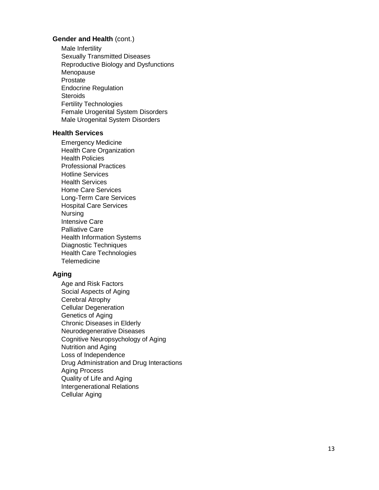#### **Gender and Health** (cont.)

Male Infertility Sexually Transmitted Diseases Reproductive Biology and Dysfunctions Menopause Prostate Endocrine Regulation **Steroids** Fertility Technologies Female Urogenital System Disorders Male Urogenital System Disorders

## **Health Services**

Emergency Medicine Health Care Organization Health Policies Professional Practices Hotline Services Health Services Home Care Services Long -Term Care Services Hospital Care Services Nursing Intensive Care Palliative Care Health Information Systems Diagnostic Techniques Health Care Technologies **Telemedicine** 

#### **Aging**

Age and Risk Factors Social Aspects of Aging Cerebral Atrophy Cellular Degeneration Genetics of Aging Chronic Diseases in Elderly Neurodegenerative Diseases Cognitive Neuropsychology of Aging Nutrition and Aging Loss of Independence Drug Administration and Drug Interactions Aging Process Quality of Life and Aging Intergenerational Relations Cellular Aging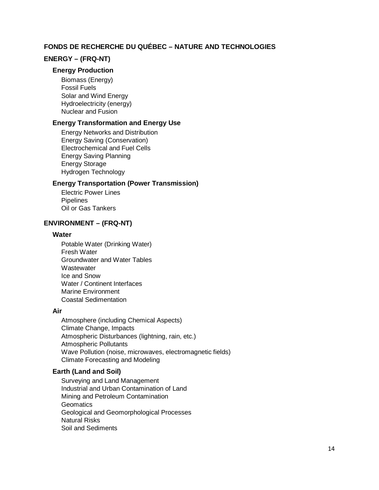# **FONDS DE RECHERCHE DU QUÉBEC – NATURE AND TECHNOLOGIES**

#### **ENERGY – (FRQ-NT)**

#### **Energy Production**

Biomass (Energy) Fossil Fuels Solar and Wind Energy Hydroelectricity (energy) Nuclear and Fusion

#### **Energy Transformation and Energy Use**

Energy Networks and Distribution Energy Saving (Conservation) Electrochemical and Fuel Cells Energy Saving Planning Energy Storage Hydrogen Technology

#### **Energy Transportation (Power Transmission)**

Electric Power Lines **Pipelines** Oil or Gas Tankers

#### **ENVIRONMENT – (FRQ-NT)**

#### **Water**

Potable Water (Drinking Water) Fresh Water Groundwater and Water Tables **Wastewater** Ice and Snow Water / Continent Interfaces Marine Environment Coastal Sedimentation

#### **Air**

Atmosphere (including Chemical Aspects) Climate Change, Impacts Atmospheric Disturbances (lightning, rain, etc.) Atmospheric Pollutants Wave Pollution (noise, microwaves, electromagnetic fields) Climate Forecasting and Modeling

#### **Earth (Land and Soil)**

Surveying and Land Management Industrial and Urban Contamination of Land Mining and Petroleum Contamination **Geomatics** Geological and Geomorphological Processes Natural Risks Soil and Sediments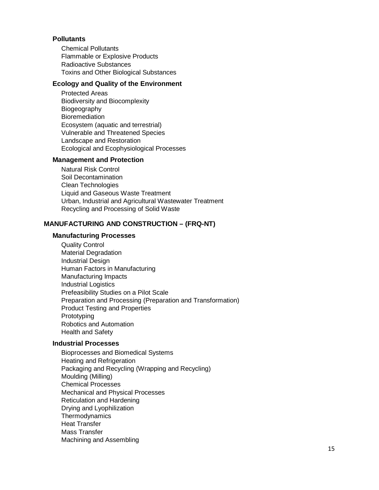#### **Pollutants**

Chemical Pollutants Flammable or Explosive Products Radioactive Substances Toxins and Other Biological Substances

#### **Ecology and Quality of the Environment**

Protected Areas Biodiversity and Biocomplexity Biogeography **Bioremediation** Ecosystem (aquatic and terrestrial) Vulnerable and Threatened Species Landscape and Restoration Ecological and Ecophysiological Processes

#### **Management and Protection**

Natural Risk Control Soil Decontamination Clean Technologies Liquid and Gaseous Waste Treatment Urban, Industrial and Agricultural Wastewater Treatment Recycling and Processing of Solid Waste

# **MANUFACTURING AND CONSTRUCTION – (FRQ-NT)**

# **Manufacturing Processes**

Quality Control Material Degradation Industrial Design Human Factors in Manufacturing Manufacturing Impacts Industrial Logistics Prefeasibility Studies on a Pilot Scale Preparation and Processing (Preparation and Transformation) Product Testing and Properties Prototyping Robotics and Automation Health and Safety

#### **Industrial Processes**

Bioprocesses and Biomedical Systems Heating and Refrigeration Packaging and Recycling (Wrapping and Recycling) Moulding (Milling) Chemical Processes Mechanical and Physical Processes Reticulation and Hardening Drying and Lyophilization **Thermodynamics** Heat Transfer Mass Transfer Machining and Assembling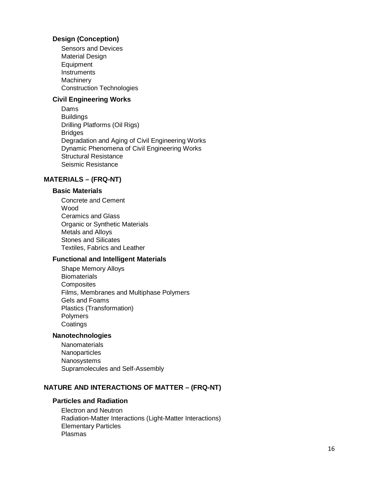## **Design (Conception)**

Sensors and Devices Material Design **Equipment** Instruments **Machinery** Construction Technologies

# **Civil Engineering Works**

Dams **Buildings** Drilling Platforms (Oil Rigs) Bridges Degradation and Aging of Civil Engineering Works Dynamic Phenomena of Civil Engineering Works Structural Resistance Seismic Resistance

#### **MATERIALS – (FRQ -NT)**

#### **Basic Materials**

Concrete and Cement Wood Ceramics and Glass Organic or Synthetic Materials Metals and Alloys Stones and Silicates Textiles, Fabrics and Leather

#### **Functional and Intelligent Materials**

Shape Memory Alloys **Biomaterials Composites** Films, Membranes and Multiphase Polymers Gels and Foams Plastics (Transformation) Polymers **Coatings** 

#### **Nanotechnologies**

**Nanomaterials Nanoparticles** Nanosystem s Supramolecules and Self -Assembly

#### **NATURE AND INTERACTIONS OF MATTER – (FRQ -NT)**

#### **Particles and Radiation**

Electron and Neutron Radiation -Matter Interactions (Light -Matter Interactions) Elementary Particles Plasmas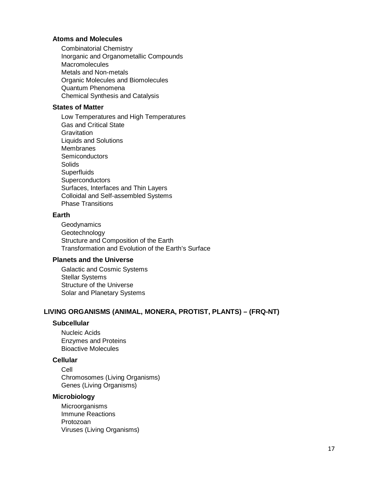#### **Atoms and Molecules**

Combinatorial Chemistry Inorganic and Organometallic Compounds **Macromolecules** Metals and Non-metals Organic Molecules and Biomolecules Quantum Phenomena Chemical Synthesis and Catalysis

## **States of Matter**

Low Temperatures and High Temperatures Gas and Critical State **Gravitation** Liquids and Solutions **Membranes Semiconductors Solids Superfluids Superconductors** Surfaces, Interfaces and Thin Layers Colloidal and Self-assembled Systems Phase Transitions

## **Earth**

**Geodynamics** Geotechnology Structure and Composition of the Earth Transformation and Evolution of the Earth's Surface

## **Planets and the Universe**

Galactic and Cosmic Systems Stellar Systems Structure of the Universe Solar and Planetary Systems

# **LIVING ORGANISMS (ANIMAL, MONERA, PROTIST, PLANTS) – (FRQ-NT)**

#### **Subcellular**

Nucleic Acids Enzymes and Proteins Bioactive Molecules

## **Cellular**

Cell Chromosomes (Living Organisms) Genes (Living Organisms)

#### **Microbiology**

**Microorganisms** Immune Reactions Protozoan Viruses (Living Organisms)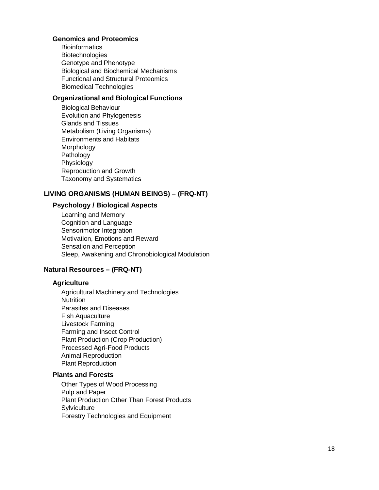## **Genomics and Proteomics**

**Bioinformatics Biotechnologies** Genotype and Phenotype Biological and Biochemical Mechanisms Functional and Structural Proteomics Biomedical Technologies

## **Organizational and Biological Functions**

Biological Behaviour Evolution and Phylogenesis Glands and Tissues Metabolism (Living Organisms) Environments and Habitats Morphology Pathology Physiology Reproduction and Growth Taxonomy and Systematics

# **LIVING ORGANISMS (HUMAN BEINGS) – (FRQ -NT)**

# **Psychology / Biological Aspects**

Learning and Memory Cognition and Language Sensorimotor Integration Motivation, Emotions and Reward Sensation and Perception Sleep, Awakening and Chronobiological Modulation

# **Natural Resources – (FRQ -NT)**

# **Agriculture**

Agricultural Machinery and Technologies **Nutrition** Parasites and Diseases Fish Aquaculture Livestock Farming Farming and Insect Control Plant Production (Crop Production) Processed Agri -Food Products Animal Reproduction Plant Reproduction

## **Plants and Forests**

Other Types of Wood Processing Pulp and Paper Plant Production Other Than Forest Products **Sylviculture** Forestry Technologies and Equipment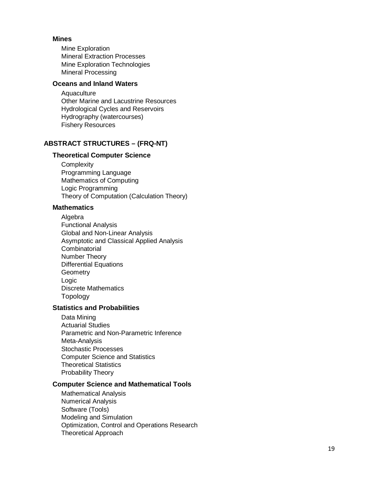# **Mines**

Mine Exploration Mineral Extraction Processes Mine Exploration Technologies Mineral Processing

# **Oceans and Inland Waters**

Aquaculture Other Marine and Lacustrine Resources Hydrological Cycles and Reservoirs Hydrography (watercourses) Fishery Resources

#### **ABSTRACT STRUCTURES – (FRQ -NT)**

#### **Theoretical Computer Science**

**Complexity** Programming Language Mathematics of Computing Logic Programming Theory of Computation (Calculation Theory)

#### **Mathematics**

Algebra Functional Analysis Global and Non -Linear Analysis Asymptotic and Classical Applied Analysis **Combinatorial** Number Theory Differential Equations **Geometry** Logic Discrete Mathematics Topology

#### **Statistics and Probabilities**

Data Mining Actuarial Studies Parametric and Non -Parametric Inference Meta -Analysis Stochastic Processes Computer Science and Statistics Theoretical Statistics Probability Theory

## **Computer Science and Mathematical Tools**

Mathematical Analysis Numerical Analysis Software (Tools) Modeling and Simulation Optimization, Control and Operations Research Theoretical Approach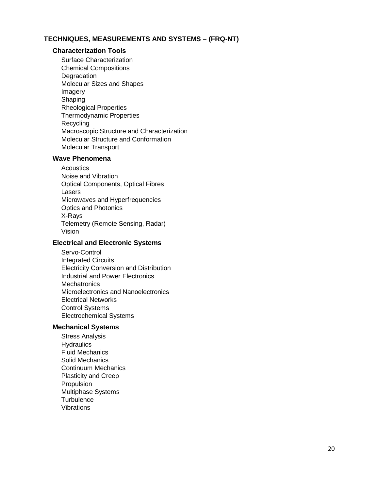## **TECHNIQUES, MEASUREMENTS AND SYSTEMS – (FRQ-NT)**

#### **Characterization Tools**

Surface Characterization Chemical Compositions **Degradation** Molecular Sizes and Shapes Imagery Shaping Rheological Properties Thermodynamic Properties **Recycling** Macroscopic Structure and Characterization Molecular Structure and Conformation Molecular Transport

#### **Wave Phenomena**

**Acoustics** Noise and Vibration Optical Components, Optical Fibres Lasers Microwaves and Hyperfrequencies Optics and Photonics X-Rays Telemetry (Remote Sensing, Radar) Vision

#### **Electrical and Electronic Systems**

Servo-Control Integrated Circuits Electricity Conversion and Distribution Industrial and Power Electronics **Mechatronics** Microelectronics and Nanoelectronics Electrical Networks Control Systems Electrochemical Systems

#### **Mechanical Systems**

Stress Analysis **Hydraulics** Fluid Mechanics Solid Mechanics Continuum Mechanics Plasticity and Creep Propulsion Multiphase Systems **Turbulence** Vibrations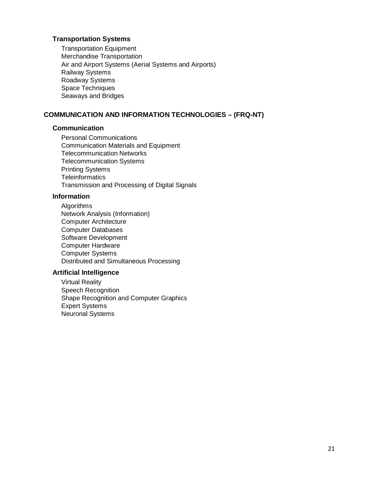# **Transportation Systems**

Transportation Equipment Merchandise Transportation Air and Airport Systems (Aerial Systems and Airports) Railway Systems Roadway Systems Space Techniques Seaways and Bridges

# **COMMUNICATION AND INFORMATION TECHNOLOGIES – (FRQ-NT)**

#### **Communication**

Personal Communications Communication Materials and Equipment Telecommunication Networks Telecommunication Systems Printing Systems **Teleinformatics** Transmission and Processing of Digital Signals

# **Information**

Algorithms Network Analysis (Information) Computer Architecture Computer Databases Software Development Computer Hardware Computer Systems Distributed and Simultaneous Processing

#### **Artificial Intelligence**

Virtual Reality Speech Recognition Shape Recognition and Computer Graphics Expert Systems Neuronal Systems